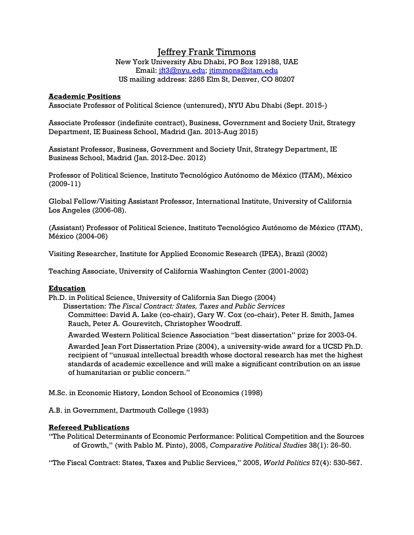# Jeffrey Frank Timmons

New York University Abu Dhabi, PO Box 129188, UAE Email: [jft3@nyu.edu;](mailto:jft3@nyu.edu) [jtimmons@itam.edu](mailto:jtimmons@itam.edu) US mailing address: 2265 Elm St, Denver, CO 80207

### **Academic Positions**

Associate Professor of Political Science (untenured), NYU Abu Dhabi (Sept. 2015-)

Associate Professor (indefinite contract), Business, Government and Society Unit, Strategy Department, IE Business School, Madrid (Jan. 2013-Aug 2015)

Assistant Professor, Business, Government and Society Unit, Strategy Department, IE Business School, Madrid (Jan. 2012-Dec. 2012)

Professor of Political Science, Instituto Tecnológico Autónomo de México (ITAM), México (2009-11)

Global Fellow/Visiting Assistant Professor, International Institute, University of California Los Angeles (2006-08).

(Assistant) Professor of Political Science, Instituto Tecnológico Autónomo de México (ITAM), México (2004-06)

Visiting Researcher, Institute for Applied Economic Research (IPEA), Brazil (2002)

Teaching Associate, University of California Washington Center (2001-2002)

## **Education**

Ph.D. in Political Science, University of California San Diego (2004)

Dissertation: *The Fiscal Contract: States, Taxes and Public Services* Committee: David A. Lake (co-chair), Gary W. Cox (co-chair), Peter H. Smith, James Rauch, Peter A. Gourevitch, Christopher Woodruff.

Awarded Western Political Science Association "best dissertation" prize for 2003-04.

Awarded Jean Fort Dissertation Prize (2004), a university-wide award for a UCSD Ph.D. recipient of "unusual intellectual breadth whose doctoral research has met the highest standards of academic excellence and will make a significant contribution on an issue of humanitarian or public concern."

M.Sc. in Economic History, London School of Economics (1998)

A.B. in Government, Dartmouth College (1993)

#### **Refereed Publications**

"The Political Determinants of Economic Performance: Political Competition and the Sources of Growth," (with Pablo M. Pinto), 2005, *Comparative Political Studies* 38(1): 26-50.

"The Fiscal Contract: States, Taxes and Public Services," 2005, *World Politics* 57(4): 530-567.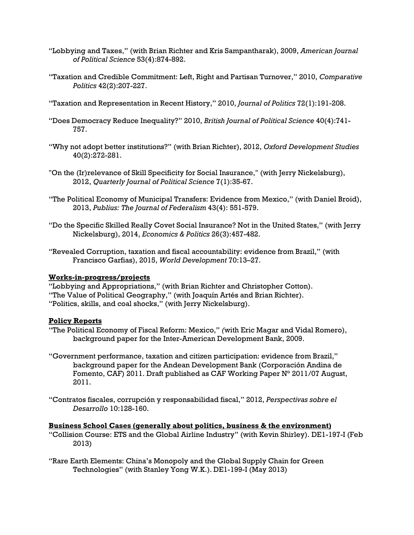- "Lobbying and Taxes," (with Brian Richter and Kris Sampantharak), 2009, *American Journal of Political Science* 53(4):874-892.
- "Taxation and Credible Commitment: Left, Right and Partisan Turnover," 2010, *Comparative Politics* 42(2):207-227.
- "Taxation and Representation in Recent History," 2010, *Journal of Politics* 72(1):191-208.
- "Does Democracy Reduce Inequality?" 2010, *British Journal of Political Science* 40(4):741- 757.
- "Why not adopt better institutions?" (with Brian Richter), 2012, *Oxford Development Studies* 40(2):272-281.
- "On the (Ir)relevance of Skill Specificity for Social Insurance," (with Jerry Nickelsburg), 2012, *Quarterly Journal of Political Science* 7(1):35-67.
- "The Political Economy of Municipal Transfers: Evidence from Mexico," (with Daniel Broid), 2013, *Publius: The Journal of Federalism* 43(4): 551-579.
- "Do the Specific Skilled Really Covet Social Insurance? Not in the United States," (with Jerry Nickelsburg), 2014, *Economics & Politics* 26(3):457-482.
- "Revealed Corruption, taxation and fiscal accountability: evidence from Brazil," (with Francisco Garfias), 2015, *World Development* 70:13–27.

#### **Works-in-progress/projects**

"Lobbying and Appropriations," (with Brian Richter and Christopher Cotton). "The Value of Political Geography," (with Joaquín Artés and Brian Richter). "Politics, skills, and coal shocks," (with Jerry Nickelsburg).

#### **Policy Reports**

- "The Political Economy of Fiscal Reform: Mexico," *(*with Eric Magar and Vidal Romero), background paper for the Inter-American Development Bank, 2009.
- "Government performance, taxation and citizen participation: evidence from Brazil," background paper for the Andean Development Bank (Corporación Andina de Fomento, CAF) 2011. Draft published as CAF Working Paper N° 2011/07 August, 2011.
- "Contratos fiscales, corrupción y responsabilidad fiscal," 2012, *Perspectivas sobre el Desarrollo* 10:128-160.

#### **Business School Cases (generally about politics, business & the environment)**

- "Collision Course: ETS and the Global Airline Industry" (with Kevin Shirley). DE1-197-I (Feb 2013)
- "Rare Earth Elements: China's Monopoly and the Global Supply Chain for Green Technologies" (with Stanley Yong W.K.). DE1-199-I (May 2013)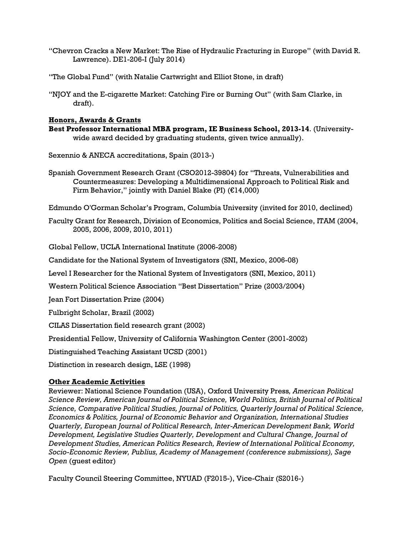- "Chevron Cracks a New Market: The Rise of Hydraulic Fracturing in Europe" (with David R. Lawrence). DE1-206-I (July 2014)
- "The Global Fund" (with Natalie Cartwright and Elliot Stone, in draft)
- "NJOY and the E-cigarette Market: Catching Fire or Burning Out" (with Sam Clarke, in draft).

#### **Honors, Awards & Grants**

Sexennio & ANECA accreditations, Spain (2013-)

Spanish Government Research Grant (CSO2012-39804) for "Threats, Vulnerabilities and Countermeasures: Developing a Multidimensional Approach to Political Risk and Firm Behavior," jointly with Daniel Blake (PI)  $(E14,000)$ 

Edmundo O'Gorman Scholar's Program, Columbia University (invited for 2010, declined)

Faculty Grant for Research, Division of Economics, Politics and Social Science, ITAM (2004, 2005, 2006, 2009, 2010, 2011)

Global Fellow, UCLA International Institute (2006-2008)

Candidate for the National System of Investigators (SNI, Mexico, 2006-08)

Level I Researcher for the National System of Investigators (SNI, Mexico, 2011)

Western Political Science Association "Best Dissertation" Prize (2003/2004)

Jean Fort Dissertation Prize (2004)

Fulbright Scholar, Brazil (2002)

CILAS Dissertation field research grant (2002)

Presidential Fellow, University of California Washington Center (2001-2002)

Distinguished Teaching Assistant UCSD (2001)

Distinction in research design, LSE (1998)

## **Other Academic Activities**

Reviewer: National Science Foundation (USA), Oxford University Press*, American Political Science Review, American Journal of Political Science, World Politics, British Journal of Political Science, Comparative Political Studies, Journal of Politics, Quarterly Journal of Political Science, Economics & Politics, Journal of Economic Behavior and Organization, International Studies Quarterly, European Journal of Political Research, Inter-American Development Bank, World Development, Legislative Studies Quarterly, Development and Cultural Change, Journal of Development Studies, American Politics Research, Review of International Political Economy, Socio-Economic Review, Publius, Academy of Management (conference submissions), Sage Open* (guest editor)

Faculty Council Steering Committee, NYUAD (F2015-), Vice-Chair (S2016-)

**Best Professor International MBA program, IE Business School, 2013-14**. (Universitywide award decided by graduating students, given twice annually).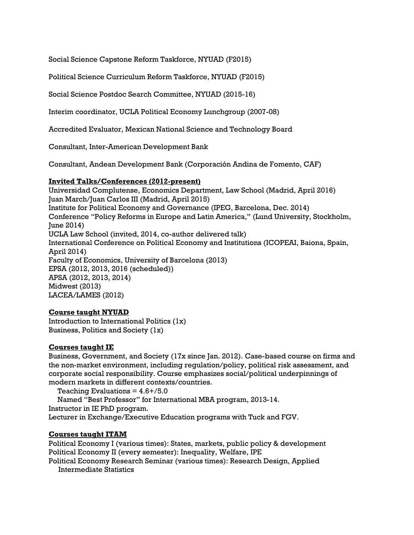Social Science Capstone Reform Taskforce, NYUAD (F2015)

Political Science Curriculum Reform Taskforce, NYUAD (F2015)

Social Science Postdoc Search Committee, NYUAD (2015-16)

Interim coordinator, UCLA Political Economy Lunchgroup (2007-08)

Accredited Evaluator, Mexican National Science and Technology Board

Consultant, Inter-American Development Bank

Consultant, Andean Development Bank (Corporación Andina de Fomento, CAF)

#### **Invited Talks/Conferences (2012-present)**

Universidad Complutense, Economics Department, Law School (Madrid, April 2016) Juan March/Juan Carlos III (Madrid, April 2015) Institute for Political Economy and Governance (IPEG, Barcelona, Dec. 2014) Conference "Policy Reforms in Europe and Latin America," (Lund University, Stockholm, June 2014) UCLA Law School (invited, 2014, co-author delivered talk) International Conference on Political Economy and Institutions (ICOPEAI, Baiona, Spain, April 2014) Faculty of Economics, University of Barcelona (2013) EPSA (2012, 2013, 2016 (scheduled)) APSA (2012, 2013, 2014) Midwest (2013) LACEA/LAMES (2012)

## **Course taught NYUAD**

Introduction to International Politics (1x) Business, Politics and Society (1x)

#### **Courses taught IE**

Business, Government, and Society (17x since Jan. 2012). Case-based course on firms and the non-market environment, including regulation/policy, political risk assessment, and corporate social responsibility. Course emphasizes social/political underpinnings of modern markets in different contexts/countries.

Teaching Evaluations  $= 4.6 + 7.0$ 

Named "Best Professor" for International MBA program, 2013-14.

Instructor in IE PhD program.

Lecturer in Exchange/Executive Education programs with Tuck and FGV.

## **Courses taught ITAM**

Political Economy I (various times): States, markets, public policy & development Political Economy II (every semester): Inequality, Welfare, IPE

Political Economy Research Seminar (various times): Research Design, Applied Intermediate Statistics